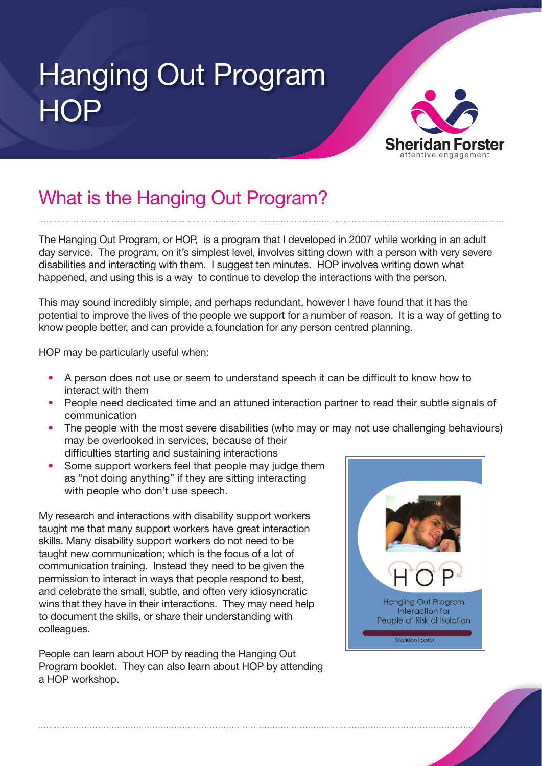## Hanging Out Program **HOP**



#### What is the Hanging Out Program?

The Hanging Out Program, or HOP, is a program that I developed in 2007 while working in an adult day service. The program, on it's simplest level, involves sitting down with a person with very severe disabilities and interacting with them. I suggest ten minutes. HOP involves writing down what happened, and using this is a way to continue to develop the interactions with the person.

This may sound incredibly simple, and perhaps redundant, however I have found that it has the potential to improve the lives of the people we support for a number of reason. It is a way of getting to know people better, and can provide a foundation for any person centred planning.

HOP may be particularly useful when:

- A person does not use or seem to understand speech it can be difficult to know how to interact with them
- People need dedicated time and an attuned interaction partner to read their subtle signals of communication
- The people with the most severe disabilities (who may or may not use challenging behaviours) may be overlooked in services, because of their difficulties starting and sustaining interactions
- Some support workers feel that people may judge them as "not doing anything" if they are sitting interacting with people who don't use speech.

My research and interactions with disability support workers taught me that many support workers have great interaction skills. Many disability support workers do not need to be taught new communication; which is the focus of a lot of communication training. Instead they need to be given the permission to interact in ways that people respond to best, and celebrate the small, subtle, and often very idiosyncratic wins that they have in their interactions. They may need help to document the skills, or share their understanding with colleagues.

People can learn about HOP by reading the Hanging Out Program booklet. They can also learn about HOP by attending a HOP workshop.

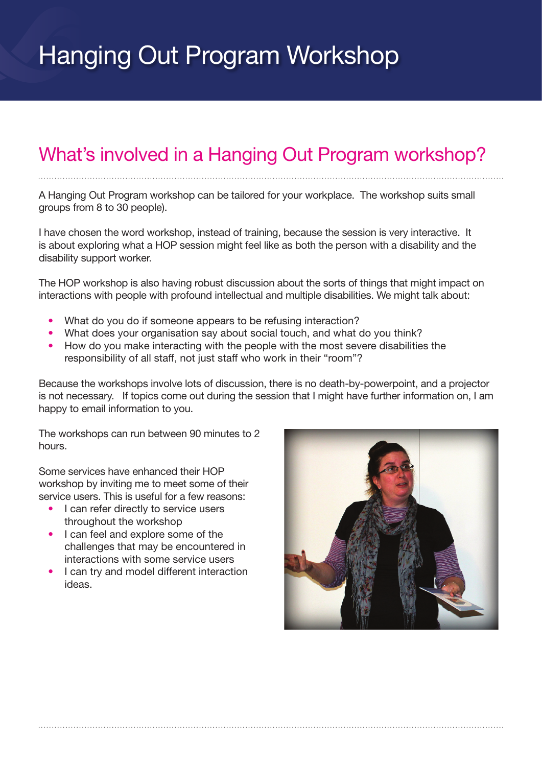### Hanging Out Program Workshop

#### What's involved in a Hanging Out Program workshop?

A Hanging Out Program workshop can be tailored for your workplace. The workshop suits small groups from 8 to 30 people).

I have chosen the word workshop, instead of training, because the session is very interactive. It is about exploring what a HOP session might feel like as both the person with a disability and the disability support worker.

The HOP workshop is also having robust discussion about the sorts of things that might impact on interactions with people with profound intellectual and multiple disabilities. We might talk about:

- What do you do if someone appears to be refusing interaction?
- What does your organisation say about social touch, and what do you think?
- How do you make interacting with the people with the most severe disabilities the responsibility of all staff, not just staff who work in their "room"?

Because the workshops involve lots of discussion, there is no death-by-powerpoint, and a projector is not necessary. If topics come out during the session that I might have further information on, I am happy to email information to you.

The workshops can run between 90 minutes to 2 hours.

Some services have enhanced their HOP workshop by inviting me to meet some of their service users. This is useful for a few reasons:

- I can refer directly to service users throughout the workshop
- I can feel and explore some of the challenges that may be encountered in interactions with some service users
- I can try and model different interaction ideas.

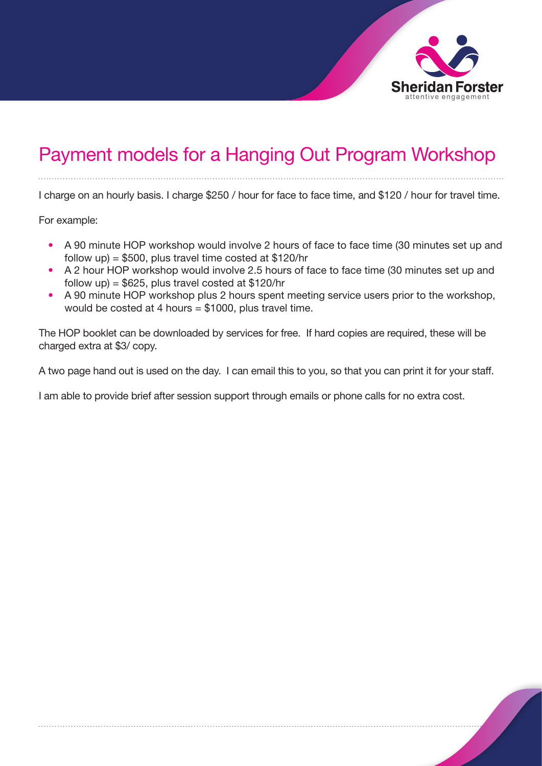

#### Payment models for a Hanging Out Program Workshop

I charge on an hourly basis. I charge \$250 / hour for face to face time, and \$120 / hour for travel time.

For example:

- A 90 minute HOP workshop would involve 2 hours of face to face time (30 minutes set up and follow up) =  $$500$ , plus travel time costed at  $$120/hr$
- A 2 hour HOP workshop would involve 2.5 hours of face to face time (30 minutes set up and follow up) =  $$625$ , plus travel costed at  $$120/hr$
- A 90 minute HOP workshop plus 2 hours spent meeting service users prior to the workshop, would be costed at 4 hours = \$1000, plus travel time.

The HOP booklet can be downloaded by services for free. If hard copies are required, these will be charged extra at \$3/ copy.

A two page hand out is used on the day. I can email this to you, so that you can print it for your staff.

I am able to provide brief after session support through emails or phone calls for no extra cost.